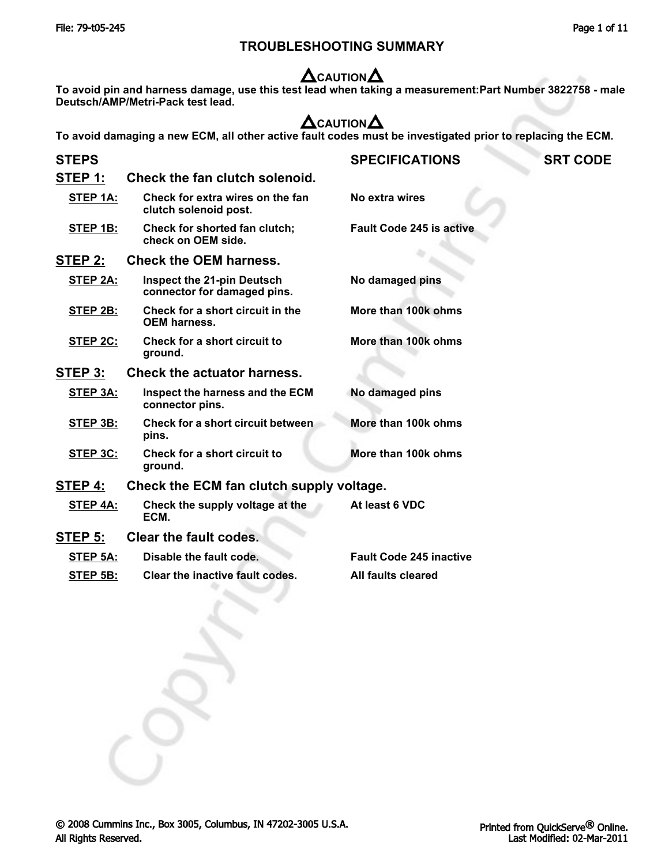### **TROUBLESHOOTING SUMMARY**

# **CAUTION**

**To avoid pin and harness damage, use this test lead when taking a measurement:Part Number 3822758 - male Deutsch/AMP/Metri-Pack test lead.**

# **CAUTION**

**To avoid damaging a new ECM, all other active fault codes must be investigated prior to replacing the ECM.**

| <b>STEPS</b> |                                                                  | <b>SPECIFICATIONS</b>           | <b>SRT CODE</b> |
|--------------|------------------------------------------------------------------|---------------------------------|-----------------|
| STEP 1:      | Check the fan clutch solenoid.                                   |                                 |                 |
| STEP 1A:     | Check for extra wires on the fan<br>clutch solenoid post.        | No extra wires                  |                 |
| STEP 1B:     | Check for shorted fan clutch;<br>check on OEM side.              | <b>Fault Code 245 is active</b> |                 |
| STEP 2:      | <b>Check the OEM harness.</b>                                    |                                 |                 |
| STEP 2A:     | <b>Inspect the 21-pin Deutsch</b><br>connector for damaged pins. | No damaged pins                 |                 |
| STEP 2B:     | Check for a short circuit in the<br><b>OEM harness.</b>          | More than 100k ohms             |                 |
| STEP 2C:     | Check for a short circuit to<br>ground.                          | More than 100k ohms             |                 |
| STEP 3:      | <b>Check the actuator harness.</b>                               |                                 |                 |
| STEP 3A:     | Inspect the harness and the ECM<br>connector pins.               | No damaged pins                 |                 |
| STEP 3B:     | <b>Check for a short circuit between</b><br>pins.                | More than 100k ohms             |                 |
| STEP 3C:     | Check for a short circuit to<br>ground.                          | More than 100k ohms             |                 |
| STEP 4:      | Check the ECM fan clutch supply voltage.                         |                                 |                 |
| STEP 4A:     | Check the supply voltage at the<br>ECM.                          | At least 6 VDC                  |                 |
| STEP 5:      | <b>Clear the fault codes.</b>                                    |                                 |                 |
| STEP 5A:     | Disable the fault code.                                          | <b>Fault Code 245 inactive</b>  |                 |
| STEP 5B:     | Clear the inactive fault codes.                                  | All faults cleared              |                 |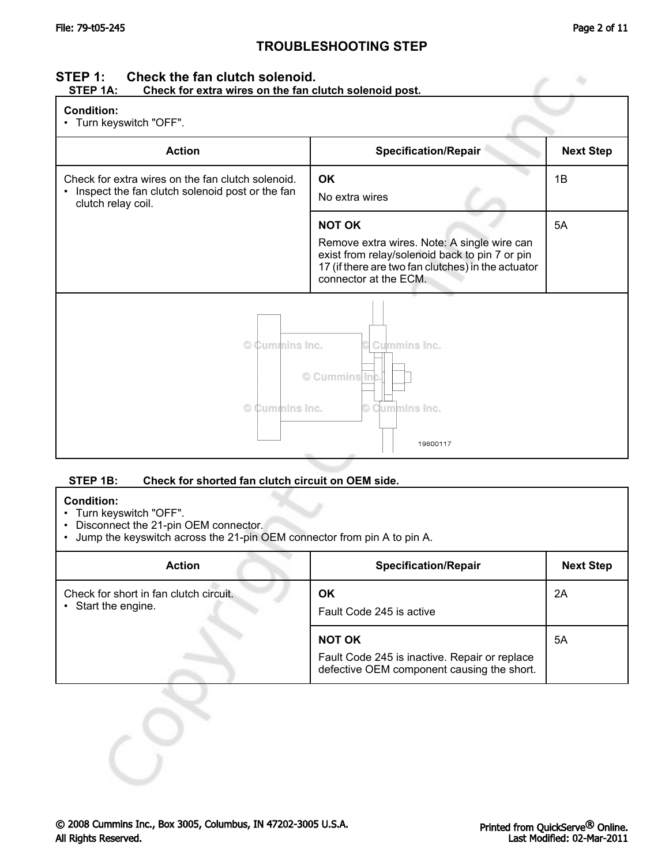# **STEP 1:** Check the fan clutch solenoid.<br>STEP 1A: Check for extra wires on the fan c

### Check for extra wires on the fan clutch solenoid post.

| <b>Condition:</b> |
|-------------------|
|-------------------|

• Turn keyswitch "OFF".

| TUITT KEYSWILGT UFF.                                                                                                                    |                                                                                                                                                                                               |                  |  |
|-----------------------------------------------------------------------------------------------------------------------------------------|-----------------------------------------------------------------------------------------------------------------------------------------------------------------------------------------------|------------------|--|
| <b>Action</b>                                                                                                                           | <b>Specification/Repair</b>                                                                                                                                                                   | <b>Next Step</b> |  |
| Check for extra wires on the fan clutch solenoid.<br>Inspect the fan clutch solenoid post or the fan<br>$\bullet$<br>clutch relay coil. | OK<br>No extra wires                                                                                                                                                                          | 1B               |  |
|                                                                                                                                         | <b>NOT OK</b><br>Remove extra wires. Note: A single wire can<br>exist from relay/solenoid back to pin 7 or pin<br>17 (if there are two fan clutches) in the actuator<br>connector at the ECM. | 5A               |  |
| © Cummins Inc.<br>Cummins Inc.<br>© Cummins Inc.<br>© Cummins Inc.<br>© Cummins Inc.<br>19800117                                        |                                                                                                                                                                                               |                  |  |

### **STEP 1B: Check for shorted fan clutch circuit on OEM side.**

### **Condition:**

- Turn keyswitch "OFF".
- Disconnect the 21-pin OEM connector.
- Jump the keyswitch across the 21-pin OEM connector from pin A to pin A.

| <b>Action</b>                                               | <b>Specification/Repair</b>                                                                                  | <b>Next Step</b> |
|-------------------------------------------------------------|--------------------------------------------------------------------------------------------------------------|------------------|
| Check for short in fan clutch circuit.<br>Start the engine. | ΟK<br>Fault Code 245 is active                                                                               | 2A               |
|                                                             | <b>NOT OK</b><br>Fault Code 245 is inactive. Repair or replace<br>defective OEM component causing the short. | 5A               |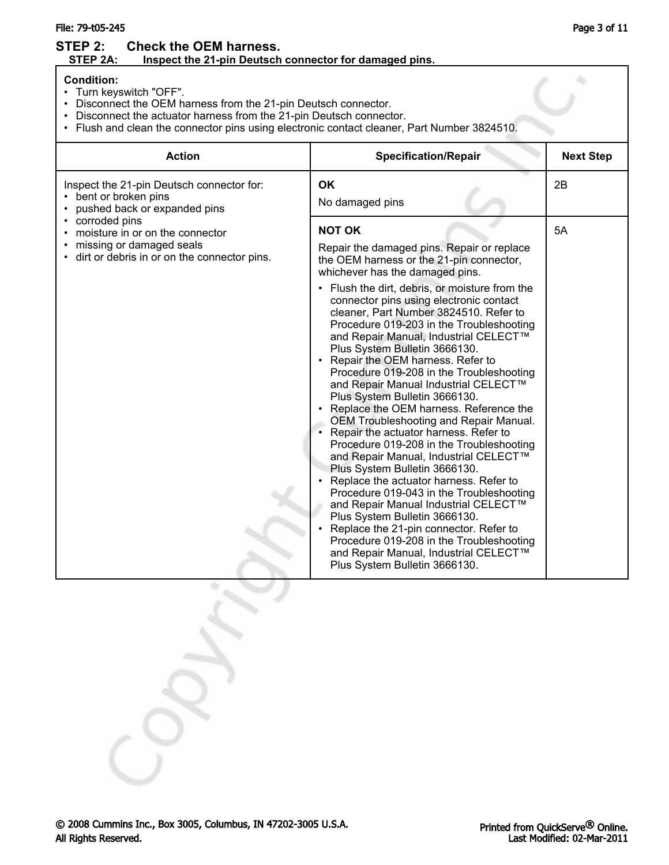### File: 79-t05-245 Page 3 of 11

### **STEP 2:** Check the OEM harness.<br>STEP 2A: Inspect the 21-pin Deutsch **Inspect the 21-pin Deutsch connector for damaged pins.**

### **Condition:**

- Turn keyswitch "OFF".
- Disconnect the OEM harness from the 21-pin Deutsch connector.
- Disconnect the actuator harness from the 21-pin Deutsch connector.
- Flush and clean the connector pins using electronic contact cleaner, Part Number 3824510.

| <b>Action</b>                                                                                                     | <b>Specification/Repair</b>                                                                                                                                                                                                                                                                                                                                                                                                                                                                                                                                                                                                                                                                                                                                                                                                                                                                                                                                                                                                                                                                                                                       | <b>Next Step</b> |
|-------------------------------------------------------------------------------------------------------------------|---------------------------------------------------------------------------------------------------------------------------------------------------------------------------------------------------------------------------------------------------------------------------------------------------------------------------------------------------------------------------------------------------------------------------------------------------------------------------------------------------------------------------------------------------------------------------------------------------------------------------------------------------------------------------------------------------------------------------------------------------------------------------------------------------------------------------------------------------------------------------------------------------------------------------------------------------------------------------------------------------------------------------------------------------------------------------------------------------------------------------------------------------|------------------|
| Inspect the 21-pin Deutsch connector for:<br>bent or broken pins<br>pushed back or expanded pins<br>corroded pins | <b>OK</b><br>No damaged pins<br><b>NOT OK</b>                                                                                                                                                                                                                                                                                                                                                                                                                                                                                                                                                                                                                                                                                                                                                                                                                                                                                                                                                                                                                                                                                                     | 2B<br>5A         |
| moisture in or on the connector<br>missing or damaged seals<br>dirt or debris in or on the connector pins.        | Repair the damaged pins. Repair or replace<br>the OEM harness or the 21-pin connector,<br>whichever has the damaged pins.<br>Flush the dirt, debris, or moisture from the<br>٠<br>connector pins using electronic contact<br>cleaner, Part Number 3824510. Refer to<br>Procedure 019-203 in the Troubleshooting<br>and Repair Manual, Industrial CELECT™<br>Plus System Bulletin 3666130.<br>Repair the OEM harness. Refer to<br>Procedure 019-208 in the Troubleshooting<br>and Repair Manual Industrial CELECT™<br>Plus System Bulletin 3666130.<br>Replace the OEM harness. Reference the<br>OEM Troubleshooting and Repair Manual.<br>Repair the actuator harness. Refer to<br>$\bullet$<br>Procedure 019-208 in the Troubleshooting<br>and Repair Manual, Industrial CELECT™<br>Plus System Bulletin 3666130.<br>Replace the actuator harness. Refer to<br>Procedure 019-043 in the Troubleshooting<br>and Repair Manual Industrial CELECT™<br>Plus System Bulletin 3666130.<br>Replace the 21-pin connector. Refer to<br>Procedure 019-208 in the Troubleshooting<br>and Repair Manual, Industrial CELECT™<br>Plus System Bulletin 3666130. |                  |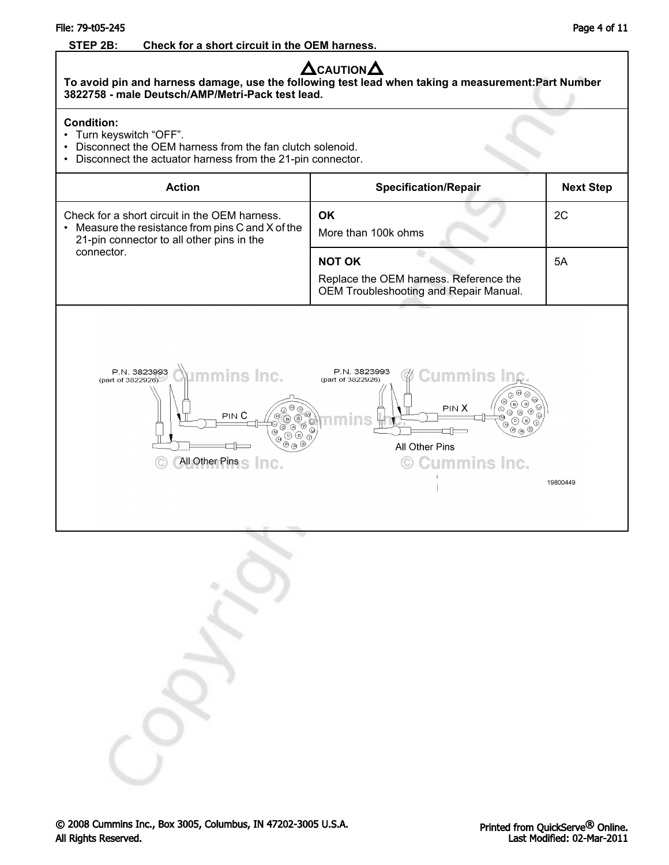### File: 79-t05-245 Page 4 of 11

### **STEP 2B: Check for a short circuit in the OEM harness.**

# $\Delta$ CAUTION $\Delta$

**To avoid pin and harness damage, use the following test lead when taking a measurement:Part Number 3822758 - male Deutsch/AMP/Metri-Pack test lead.**

### **Condition:**

- Turn keyswitch "OFF".
- Disconnect the OEM harness from the fan clutch solenoid.
- Disconnect the actuator harness from the 21-pin connector.

| <b>Action</b>                                                                                                                                                                    | <b>Specification/Repair</b>                                                                                                                                                                                                           | <b>Next Step</b> |
|----------------------------------------------------------------------------------------------------------------------------------------------------------------------------------|---------------------------------------------------------------------------------------------------------------------------------------------------------------------------------------------------------------------------------------|------------------|
| Check for a short circuit in the OEM harness.<br>Measure the resistance from pins C and X of the<br>٠<br>21-pin connector to all other pins in the                               | OK<br>More than 100k ohms                                                                                                                                                                                                             | 2C               |
| connector.                                                                                                                                                                       | <b>NOT OK</b><br>Replace the OEM harness. Reference the<br>OEM Troubleshooting and Repair Manual.                                                                                                                                     | 5A               |
| P.N. 3823993<br>Aimmins Inc.<br>(part of 3822926)<br>$\overline{\mathcal{P}}$<br>⊙<br>$\circledcirc$<br>PIN <sub>C</sub><br>000<br>ക്<br>$0 \circledcirc$<br>All Other Pins Inc. | P.N. 3823993<br><b>Cummins Inc.</b><br>(part of 3822926)<br>$\Theta$ $\otimes$<br>⋒<br>R<br>$\circledcirc$<br>PIN X<br>⊙<br>ं<br>$_{\odot}$<br>⊚<br>Œ<br>$\odot$<br>$\circledcirc$ $\circledcirc$<br>All Other Pins<br>© Cummins Inc. | 19800449         |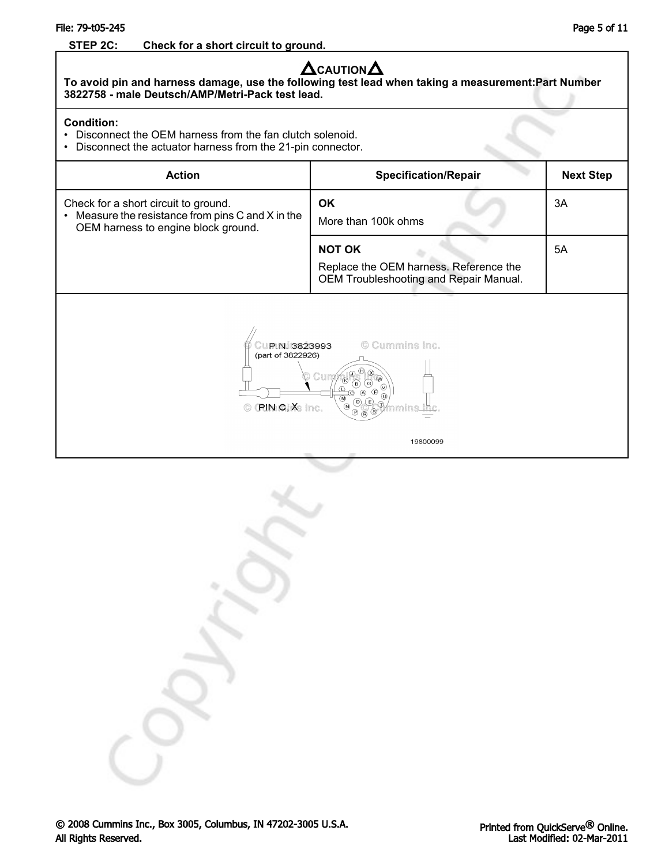### File: 79-t05-245 Page 5 of 11

### **STEP 2C: Check for a short circuit to ground.**

# **A**CAUTION**A**

**To avoid pin and harness damage, use the following test lead when taking a measurement:Part Number 3822758 - male Deutsch/AMP/Metri-Pack test lead.**

### **Condition:**

- Disconnect the OEM harness from the fan clutch solenoid.
- Disconnect the actuator harness from the 21-pin connector.

| <b>Action</b>                                                                                                                                                                                                                                              | <b>Specification/Repair</b>                                                                       | <b>Next Step</b> |
|------------------------------------------------------------------------------------------------------------------------------------------------------------------------------------------------------------------------------------------------------------|---------------------------------------------------------------------------------------------------|------------------|
| Check for a short circuit to ground.<br>Measure the resistance from pins C and X in the<br>$\bullet$<br>OEM harness to engine block ground.                                                                                                                | <b>OK</b><br>More than 100k ohms                                                                  | 3A               |
|                                                                                                                                                                                                                                                            | <b>NOT OK</b><br>Replace the OEM harness. Reference the<br>OEM Troubleshooting and Repair Manual. | 5A               |
| © Cummins Inc.<br>P.N. 3823993<br>(part of 3822926)<br>(H)<br>$\infty$<br>$\omega$<br>G<br><b>B</b><br>⊛<br>G)<br>$\mathbb{R}$<br>(E)<br>$\left( 0\right)$<br><b>PIN CIX</b> Inc.<br>$\overline{N}$<br>∞<br>$\mathfrak{B}\otimes \mathfrak{A}$<br>19800099 |                                                                                                   |                  |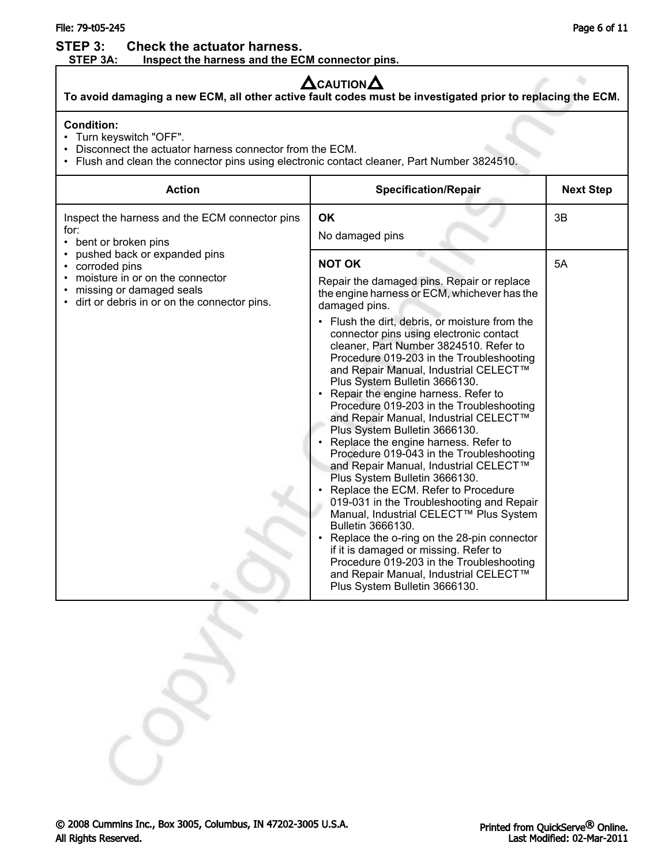### File: 79-t05-245 Page 6 of 11

**STEP 3:** Check the actuator harness.<br>STEP 3A: Inspect the harness and the EC Inspect the harness and the ECM connector pins.

# $\Delta$ CAUTION  $\Delta$

**To avoid damaging a new ECM, all other active fault codes must be investigated prior to replacing the ECM.**

### **Condition:**

- Turn keyswitch "OFF".
- Disconnect the actuator harness connector from the ECM.
- Flush and clean the connector pins using electronic contact cleaner, Part Number 3824510.

| <b>Action</b>                                                                                                                                               | <b>Specification/Repair</b>                                                                                                                                                                                                                                                                                                                                                                                                                                                                                                                                                                                                                                                                                                                                                                                                                                                                                                                                                                                                                                                          | <b>Next Step</b> |
|-------------------------------------------------------------------------------------------------------------------------------------------------------------|--------------------------------------------------------------------------------------------------------------------------------------------------------------------------------------------------------------------------------------------------------------------------------------------------------------------------------------------------------------------------------------------------------------------------------------------------------------------------------------------------------------------------------------------------------------------------------------------------------------------------------------------------------------------------------------------------------------------------------------------------------------------------------------------------------------------------------------------------------------------------------------------------------------------------------------------------------------------------------------------------------------------------------------------------------------------------------------|------------------|
| Inspect the harness and the ECM connector pins<br>for:<br>bent or broken pins                                                                               | <b>OK</b><br>No damaged pins                                                                                                                                                                                                                                                                                                                                                                                                                                                                                                                                                                                                                                                                                                                                                                                                                                                                                                                                                                                                                                                         | 3B               |
| pushed back or expanded pins<br>corroded pins<br>moisture in or on the connector<br>missing or damaged seals<br>dirt or debris in or on the connector pins. | <b>NOT OK</b><br>Repair the damaged pins. Repair or replace<br>the engine harness or ECM, whichever has the<br>damaged pins.<br>• Flush the dirt, debris, or moisture from the<br>connector pins using electronic contact<br>cleaner, Part Number 3824510. Refer to<br>Procedure 019-203 in the Troubleshooting<br>and Repair Manual, Industrial CELECT™<br>Plus System Bulletin 3666130.<br>Repair the engine harness. Refer to<br>Procedure 019-203 in the Troubleshooting<br>and Repair Manual, Industrial CELECT™<br>Plus System Bulletin 3666130.<br>Replace the engine harness. Refer to<br>Procedure 019-043 in the Troubleshooting<br>and Repair Manual, Industrial CELECT™<br>Plus System Bulletin 3666130.<br>Replace the ECM. Refer to Procedure<br>019-031 in the Troubleshooting and Repair<br>Manual, Industrial CELECT™ Plus System<br>Bulletin 3666130.<br>Replace the o-ring on the 28-pin connector<br>if it is damaged or missing. Refer to<br>Procedure 019-203 in the Troubleshooting<br>and Repair Manual, Industrial CELECT™<br>Plus System Bulletin 3666130. | 5A               |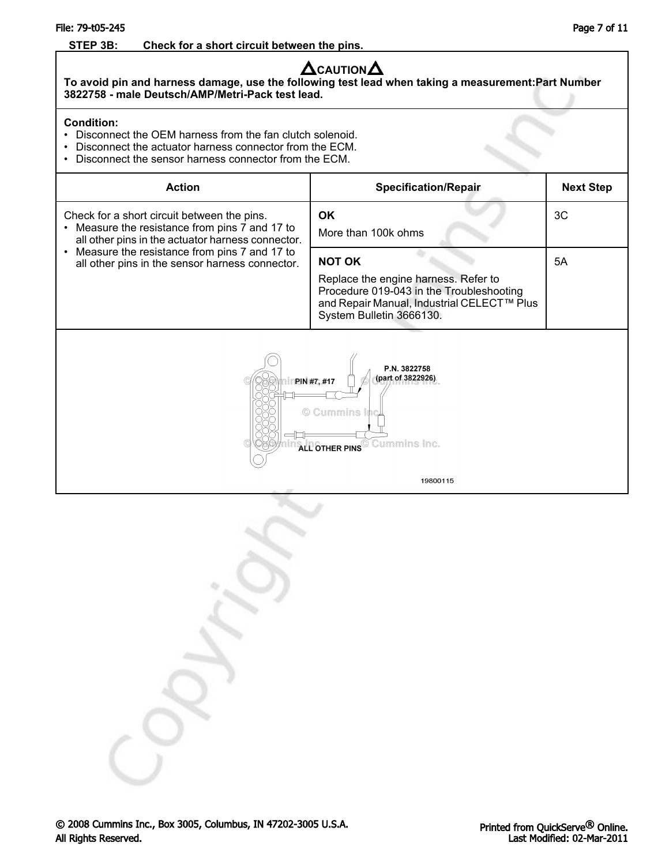### File: 79-t05-245 Page 7 of 11

### **STEP 3B: Check for a short circuit between the pins.**

## **A**CAUTION**A**

**To avoid pin and harness damage, use the following test lead when taking a measurement:Part Number 3822758 - male Deutsch/AMP/Metri-Pack test lead.**

### **Condition:**

- Disconnect the OEM harness from the fan clutch solenoid.
- Disconnect the actuator harness connector from the ECM.
- Disconnect the sensor harness connector from the ECM.

| <b>Action</b>                                                                                                | <b>Specification/Repair</b>                                                                                                                                | <b>Next Step</b> |  |
|--------------------------------------------------------------------------------------------------------------|------------------------------------------------------------------------------------------------------------------------------------------------------------|------------------|--|
| Check for a short circuit between the pins.<br>Measure the resistance from pins 7 and 17 to<br>$\bullet$     | <b>OK</b>                                                                                                                                                  | 3C               |  |
| all other pins in the actuator harness connector.                                                            | More than 100k ohms                                                                                                                                        |                  |  |
| Measure the resistance from pins 7 and 17 to<br>$\bullet$<br>all other pins in the sensor harness connector. | <b>NOT OK</b>                                                                                                                                              | 5A               |  |
|                                                                                                              | Replace the engine harness. Refer to<br>Procedure 019-043 in the Troubleshooting<br>and Repair Manual, Industrial CELECT™ Plus<br>System Bulletin 3666130. |                  |  |
| P.N. 3822758<br>(part of 3822926)<br>PIN #7, #17<br>© Cummins In<br><b>ALL OTHER PINS</b> Cummins Inc.       |                                                                                                                                                            |                  |  |
|                                                                                                              | 19800115                                                                                                                                                   |                  |  |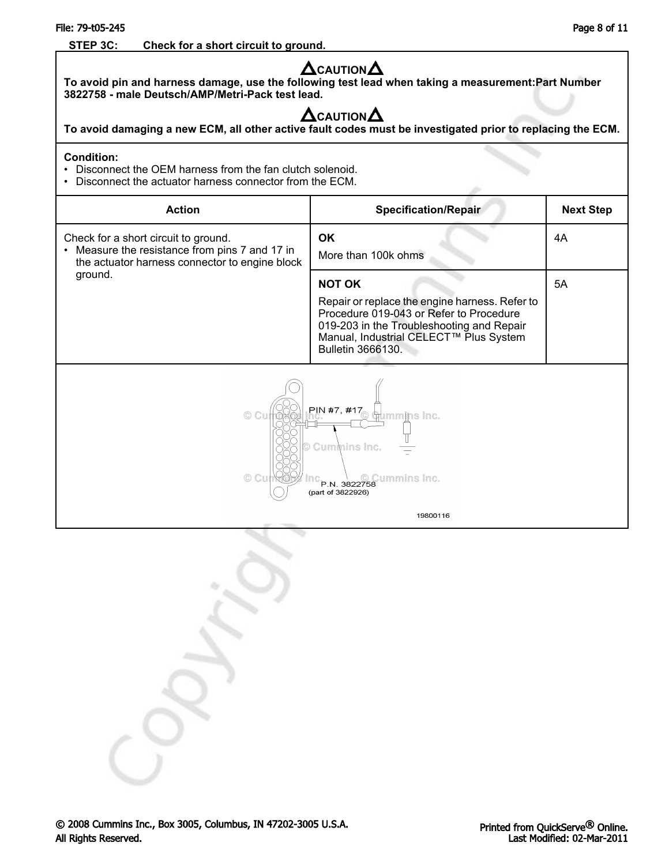### File: 79-t05-245 Page 8 of 11

### **STEP 3C: Check for a short circuit to ground.**

| $\boldsymbol{\Delta}$ CAUTION $\boldsymbol{\Delta}$<br>To avoid pin and harness damage, use the following test lead when taking a measurement:Part Number<br>3822758 - male Deutsch/AMP/Metri-Pack test lead.<br>$\boldsymbol{\Delta}$ CAUTION $\boldsymbol{\Delta}$<br>To avoid damaging a new ECM, all other active fault codes must be investigated prior to replacing the ECM. |                                                                                                                                                                                                                        |                  |  |
|------------------------------------------------------------------------------------------------------------------------------------------------------------------------------------------------------------------------------------------------------------------------------------------------------------------------------------------------------------------------------------|------------------------------------------------------------------------------------------------------------------------------------------------------------------------------------------------------------------------|------------------|--|
| <b>Condition:</b><br>Disconnect the OEM harness from the fan clutch solenoid.<br>Disconnect the actuator harness connector from the ECM.                                                                                                                                                                                                                                           |                                                                                                                                                                                                                        |                  |  |
| <b>Action</b>                                                                                                                                                                                                                                                                                                                                                                      | <b>Specification/Repair</b>                                                                                                                                                                                            | <b>Next Step</b> |  |
| Check for a short circuit to ground.<br>Measure the resistance from pins 7 and 17 in<br>the actuator harness connector to engine block                                                                                                                                                                                                                                             | <b>OK</b><br>More than 100k ohms                                                                                                                                                                                       | 4A               |  |
| ground.                                                                                                                                                                                                                                                                                                                                                                            | <b>NOT OK</b><br>Repair or replace the engine harness. Refer to<br>Procedure 019-043 or Refer to Procedure<br>019-203 in the Troubleshooting and Repair<br>Manual, Industrial CELECT™ Plus System<br>Bulletin 3666130. | 5A               |  |
| PIN #7, #17<br>mmins inc.<br>Cummins Inc.<br>ummins Inc.<br>P.N. 3822758<br>(part of 3822926)                                                                                                                                                                                                                                                                                      |                                                                                                                                                                                                                        |                  |  |
| 19800116                                                                                                                                                                                                                                                                                                                                                                           |                                                                                                                                                                                                                        |                  |  |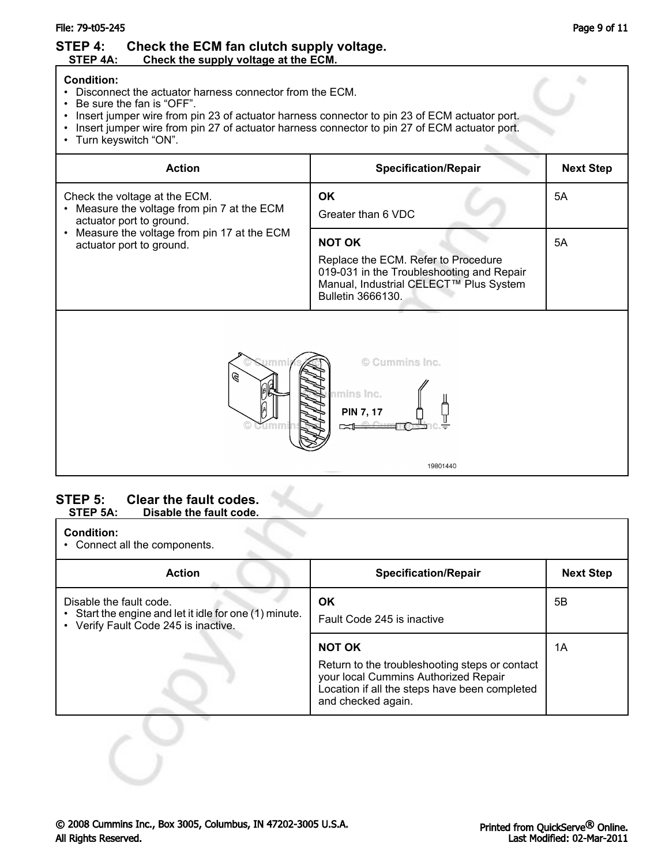### File: 79-t05-245 Page 9 of 11

### **STEP 4:** Check the ECM fan clutch supply voltage.<br>STEP 4A: Check the supply voltage at the ECM. Check the supply voltage at the **ECM.**

### **Condition:**

- Disconnect the actuator harness connector from the ECM.
- Be sure the fan is "OFF".
- Insert jumper wire from pin 23 of actuator harness connector to pin 23 of ECM actuator port.
- Insert jumper wire from pin 27 of actuator harness connector to pin 27 of ECM actuator port.
- Turn keyswitch "ON".

| <b>Action</b>                                                                                                                                                                    | <b>Specification/Repair</b>                                                                                                                                      | <b>Next Step</b> |
|----------------------------------------------------------------------------------------------------------------------------------------------------------------------------------|------------------------------------------------------------------------------------------------------------------------------------------------------------------|------------------|
| Check the voltage at the ECM.<br>Measure the voltage from pin 7 at the ECM<br>actuator port to ground.<br>Measure the voltage from pin 17 at the ECM<br>actuator port to ground. | <b>OK</b><br>Greater than 6 VDC                                                                                                                                  | 5A               |
|                                                                                                                                                                                  | <b>NOT OK</b><br>Replace the ECM. Refer to Procedure<br>019-031 in the Troubleshooting and Repair<br>Manual, Industrial CELECT™ Plus System<br>Bulletin 3666130. | 5A               |
| © Cummins Inc.<br>B<br>mins Inc.<br><b>PIN 7, 17</b>                                                                                                                             |                                                                                                                                                                  |                  |
|                                                                                                                                                                                  | 19801440                                                                                                                                                         |                  |

### **STEP 5: Clear the fault codes.**<br>STEP 5A: Disable the fault code. **Disable the fault code.**

### **Condition:**

• Connect all the components.

| <b>Action</b>                                                                                                             | <b>Specification/Repair</b>                                                                                                                                                    | <b>Next Step</b> |
|---------------------------------------------------------------------------------------------------------------------------|--------------------------------------------------------------------------------------------------------------------------------------------------------------------------------|------------------|
| Disable the fault code.<br>• Start the engine and let it idle for one (1) minute.<br>• Verify Fault Code 245 is inactive. | <b>OK</b><br>Fault Code 245 is inactive                                                                                                                                        | 5В               |
|                                                                                                                           | <b>NOT OK</b><br>Return to the troubleshooting steps or contact<br>your local Cummins Authorized Repair<br>Location if all the steps have been completed<br>and checked again. | 1A               |